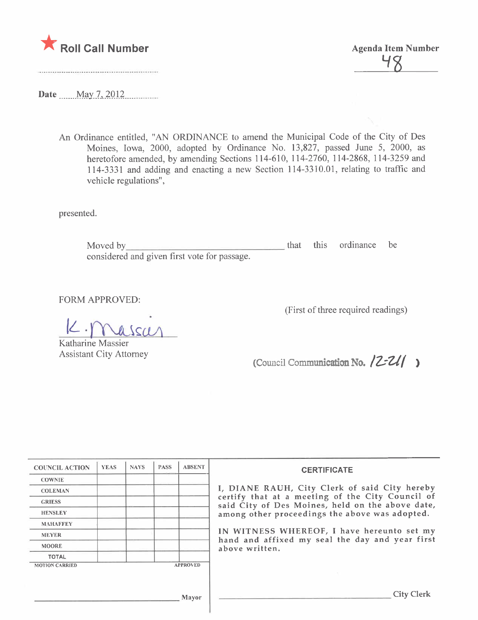

**Agenda Item Number** 

Date May 7, 2012

An Ordinance entitled, "AN ORDINANCE to amend the Municipal Code of the City of Des Moines, Iowa, 2000, adopted by Ordinance No. 13,827, passed June 5, 2000, as heretofore amended, by amending Sections 114-610, 114-2760, 114-2868, 114-3259 and 114-3331 and adding and enacting a new Section 114-3310.01, relating to traffic and vehicle regulations",

presented.

that this ordinance be Moved by considered and given first vote for passage.

**FORM APPROVED:** 

 $\frac{1}{\sqrt{1}}$ 

Katharine Massier **Assistant City Attorney** 

(First of three required readings)

(Council Communication No.  $|Z-ZI|$ )

| <b>COUNCIL ACTION</b>                    | <b>YEAS</b> | <b>NAYS</b> | <b>PASS</b> | <b>ABSENT</b> | <b>CERTIFICATE</b><br>I, DIANE RAUH, City Clerk of said City hereby<br>certify that at a meeting of the City Council of<br>said City of Des Moines, held on the above date,<br>among other proceedings the above was adopted.<br>IN WITNESS WHEREOF, I have hereunto set my<br>hand and affixed my seal the day and year first<br>above written. |
|------------------------------------------|-------------|-------------|-------------|---------------|--------------------------------------------------------------------------------------------------------------------------------------------------------------------------------------------------------------------------------------------------------------------------------------------------------------------------------------------------|
| <b>COWNIE</b>                            |             |             |             |               |                                                                                                                                                                                                                                                                                                                                                  |
| <b>COLEMAN</b>                           |             |             |             |               |                                                                                                                                                                                                                                                                                                                                                  |
| <b>GRIESS</b>                            |             |             |             |               |                                                                                                                                                                                                                                                                                                                                                  |
| <b>HENSLEY</b>                           |             |             |             |               |                                                                                                                                                                                                                                                                                                                                                  |
| <b>MAHAFFEY</b>                          |             |             |             |               |                                                                                                                                                                                                                                                                                                                                                  |
| <b>MEYER</b>                             |             |             |             |               |                                                                                                                                                                                                                                                                                                                                                  |
| <b>MOORE</b>                             |             |             |             |               |                                                                                                                                                                                                                                                                                                                                                  |
| <b>TOTAL</b>                             |             |             |             |               |                                                                                                                                                                                                                                                                                                                                                  |
| <b>APPROVED</b><br><b>MOTION CARRIED</b> |             |             |             |               |                                                                                                                                                                                                                                                                                                                                                  |
|                                          |             |             |             |               |                                                                                                                                                                                                                                                                                                                                                  |
| Mayor                                    |             |             |             |               | <b>City Clerk</b>                                                                                                                                                                                                                                                                                                                                |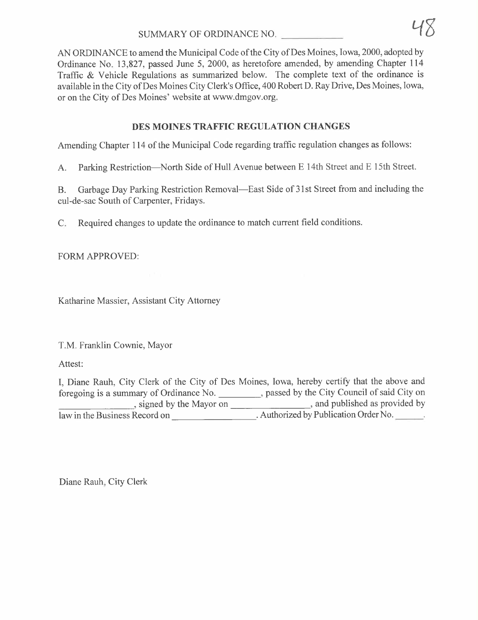AN ORDINANCE to amend the Municipal Code of the City of Des Moines, Iowa, 2000, adopted by Ordinance No. 13,827, passed June 5, 2000, as heretofore amended, by amending Chapter 114 Traffic  $&$  Vehicle Regulations as summarized below. The complete text of the ordinance is available in the City of Des Moines City Clerk's Office, 400 Robert D. Ray Drive, Des Moines, Iowa, or on the City of Des Moines' website at www.dmgov.org.

# DES MOINES TRAFFIC REGULATION CHANGES

Amending Chapter 114 of the Municipal Code regarding traffic regulation changes as follows:

A. Parking Restriction-North Side of Hull Avenue between E 14th Street and E 15th Street.

B. Garbage Day Parking Restriction Removal—East Side of 31st Street from and including the cul-de-sac South of Carpenter, Fridays.

C. Required changes to update the ordinance to match current field conditions.

FORM APPROVED:

Katharine Massier, Assistant City Attorney

T.M. Franklin Cownie, Mayor

Attest:

I, Diane Rauh, City Clerk of the City of Des Moines, Iowa, hereby certify that the above and foregoing is a summary of Ordinance No. 1991, passed by the City Council of said City on , signed by the Mayor on  $\qquad \qquad$ , and published as provided by law in the Business Record on \_\_\_\_\_\_\_\_\_\_\_\_\_\_\_\_\_\_\_\_\_\_. Authorized by Publication Order No.

Diane Rauh, City Clerk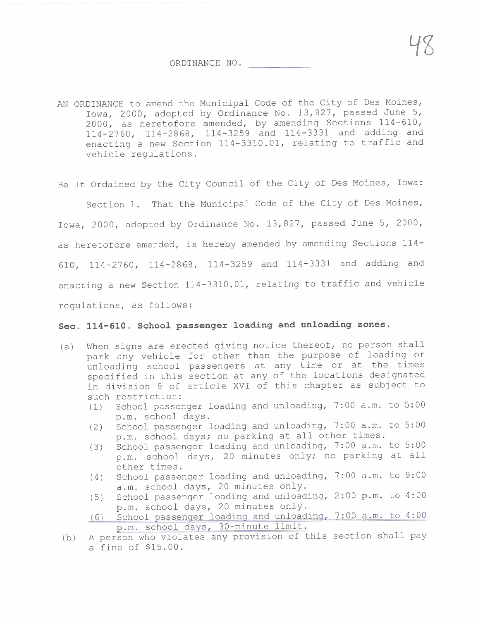ORDINANCE NO.

AN ORDINANCE to amend the Municipal Code of the City of Des Moines, Iowa, 2000, adopted by Ordinance No. 13,827, passed June 5, 2000, as heretofore amended, by amending Sections 114-610, 114-2760, 114-2868, 114-3259 and 114-3331 and adding and enacting a new Section 114-3310.01, relating to traffic and vehicle regulations.

Be It Ordained by the City Council of the City of Des Moines, Iowa:

Section 1. That the Municipal Code of the City of Des Moines, Iowa, 2000, adopted by Ordinance No. 13,827, passed June 5, 2000, as heretofore amended, is hereby amended by amending Sections 114- 610, 114-2760, 114-2868, 114-3259 and 114-3331 and adding and enacting a new Section 114-3310.01, relating to traffic and vehicle regulations, as follows:

#### Sec. 114-610. School passenger loading and unloading zones.

- (a) When signs are erected giving notice thereof, no person shall park any vehicle for other than the purpose of loading or unloading school passengers at any time or at the times specified in this section at any of the locations designated in division 9 of article XVI of this chapter as subject to such restriction:
	- (1) School passenger loading and unloading, 7: 00 a. m. to 5: 00 p.m. school days.
	- (2) School passenger loading and unloading, 7:00 a.m. to 5:00 p.m. school days; no parking at all other times.
	- (3) School passenger loading and unloading, 7:00 a.m. to 5:00 p.m. school days, 20 minutes only; no parking at all other times.
	- (4) School passenger loading and unloading, 7: 00 a. m. to 9: 00 a.m. school days, 20 minutes only.
	- (5) School passenger loading and unloading, 2:00 p.m. to 4:00<br>p.m. school days, 20 minutes only.
	- (6) School passenger loading and unloading, 7:00 a.m. to 4:00<br>p.m. school days, 30-minute limit.
- (b) A person who violates any provision of this section shall pay a fine of \$15.00.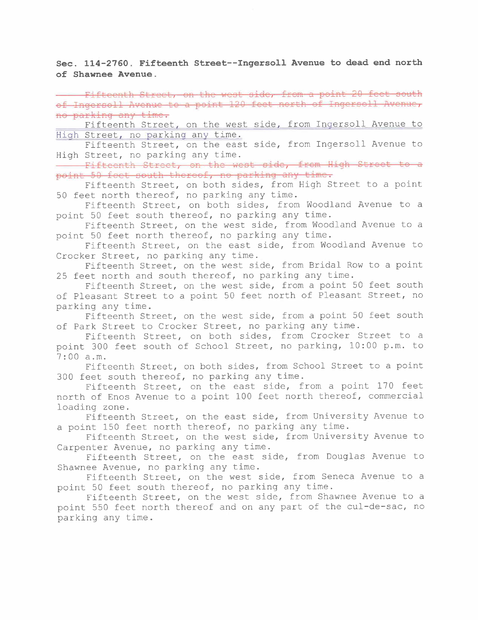Sec. 114-2760. Fifteenth Street--Ingersoll Avenue to dead end north of Shawnee Avenue.

Fifteenth Street, on the west side, from a point 20 feet south of Ingersoll Avenue to a point 120 feet north of Ingersoll Avenue, no parking any time.

Fifteenth Street, on the west side, from Inqersoll Avenue to Hiqh Street, no parkinq any time.

Fifteenth Street, on the east side, from Ingersoll Avenue to<br>High Street, no parking any time.

Fifteenth Street, on the west side. from High Street to a point 50 feet south thereof, no parking any time.

Fifteenth Street, on both sides, from High Street to a point 50 feet north thereof, no parking any time.

Fifteenth Street, on both sides, from Woodland Avenue to a point 50 feet south thereof, no parking any time.

Fifteenth Street, on the west side, from Woodland Avenue to a point 50 feet north thereof, no parking any time.

Fifteenth Street, on the east side, from Woodland Avenue to Crocker Street, no parking any time.

Fifteenth Street, on the west side, from Bridal Row to a point 25 feet north and south thereof, no parking any time.

Fifteenth Street, on the west side, from a point 50 feet south of Pleasant Street to a point 50 feet north of Pleasant Street, no parking any time.

Fifteenth Street, on the west side, from a point 50 feet south of Park Street to Crocker Street, no parking any time.

Fifteenth Street, on both sides, from Crocker Street to a point 300 feet south of School Street, no parking, 10:00 p.m. to 7:00 a.m.

Fifteenth Street, on both sides, from School Street to a point 300 feet south thereof, no parking any time.

Fifteenth Street, on the east side, from a point 170 feet north of Enos Avenue to a point 100 feet north thereof, commercial loading zone.

Fifteenth Street, on the east side, from University Avenue to a point 150 feet north thereof, no parking any time.

Fifteenth Street, on the west side, from University Avenue to Carpenter Avenue, no parking any time.

Fifteenth Street, on the east side, from Douglas Avenue to Shawnee Avenue, no parking any time.

Fifteenth Street, on the west side, from Seneca Avenue to a point 50 feet south thereof, no parking any time.

Fifteenth Street, on the west side, from Shawnee Avenue to a point 550 feet north thereof and on any part of the cul-de-sac, no parking any time.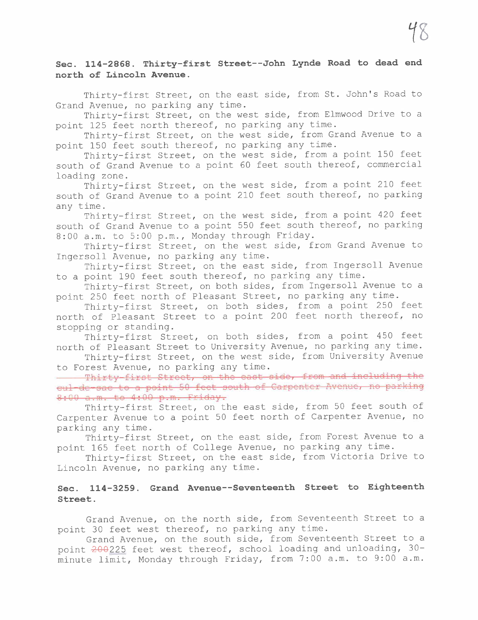# Sec. 114-2868. Thirty-first Street--John Lynde Road to dead end north of Lincoln Avenue.

Thirty-first Street, on the east side, from St. John's Road to Grand Avenue, no parking any time.

Thirty-first Street, on the west side, from Elmwood Drive to a point 125 feet north thereof, no parking any time.

Thirty-first Street, on the west side, from Grand Avenue to a point 150 feet south thereof, no parking any time.

Thirty-first Street, on the west side, from a point 150 feet south of Grand Avenue to a point 60 feet south thereof, commercial loading zone.

Thirty-first Street, on the west side, from a point 210 feet south of Grand Avenue to a point 210 feet south thereof, no parking any time.

Thirty-first Street, on the west side, from a point 420 feet south of Grand Avenue to a point 550 feet south thereof, no parking 8:00 a.m. to 5:00 p.m., Monday through Friday.

Thirty-first Street, on the west side, from Grand Avenue to Ingersoll Avenue, no parking any time.

Thirty-first Street, on the east side, from Ingersoll Avenue to a point 190 feet south thereof, no parking any time.

Thirty-first Street, on both sides, from Ingersoll Avenue to a point 250 feet north of Pleasant Street, no parking any time.

Thirty-first Street, on both sides, from a point 250 feet north of Pleasant Street to a point 200 feet north thereof, no stopping or standing.

Thirty-first Street, on both sides, from a point 450 feet north of Pleasant Street to University Avenue, no parking any time.

Thirty-first Street, on the west side, from University Avenue to Forest Avenue, no parking any time.

Thirty-first Street, on the east side, from and including the cul-de-sac to a point 50 feet south of Carpenter Avenue, no parking 8:00 a.m. to 4:00 p.m. Friday.

Thirty-first Street, on the east side, from 50 feet south of Carpenter Avenue to a point 50 feet north of Carpenter Avenue, no parking any time.

Thirty-first Street, on the east side, from Forest Avenue to a point 165 feet north of College Avenue, no parking any time.

Thirty-first Street, on the east side, from victoria Drive to Lincoln Avenue, no parking any time.

## Sec. 114-3259. Grand Avenue--Seventeenth Street to Eighteenth Street.

Grand Avenue, on the north side, from Seventeenth Street to a point 30 feet west thereof, no parking any time.

Grand Avenue, on the south side, from Seventeenth Street to a point 200225 feet west thereof, school loading and unloading, 30minute limit, Monday through Friday, from 7:00 a.m. to 9:00 a.m.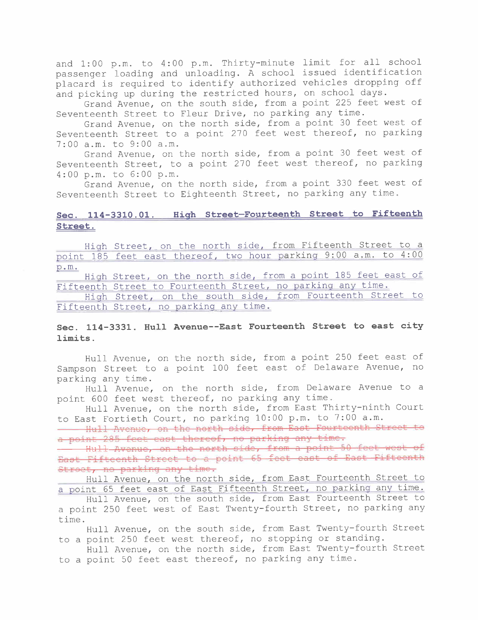and 1:00 p.m. to 4:00 p.m. Thirty-minute limit for all school passenger loading and unloading. A school issued identification placard is required to identify authorized vehicles dropping off and picking up during the restricted hours, on school days.

Grand Avenue, on the south side, from a point 225 feet west of Seventeenth Street to Fleur Drive, no parking any time.

Grand Avenue, on the north side, from a point 30 feet west of Seventeenth Street to a point 270 feet west thereof, no parking 7:00 a.m. to 9:00 a.m.

Grand Avenue, on the north side, from a point 30 feet west of Seventeenth Street, to a point 270 feet west thereof, no parking 4:00 p.m. to 6:00 p.m.

Grand Avenue, on the north side, from a point 330 feet west of Seventeenth Street to Eighteenth Street, no parking any time.

#### Sec. 114-3310.01. Hiqh Street-Fourteenth Street to Fifteenth Street.

Hiqh Street, on the north side, from Fifteenth Street to a point 185 feet east thereof, two hour parkinq 9:00 a.m. to 4:00 p.m.

Hiqh Street, on the north side, from a point 185 feet east of Fifteenth Street to Fourteenth Street, no parkinq any time.

Hiqh Street, on the south side, from Fourteenth Street to Fifteenth Street, no parkinq any time.

## Sec. 114-3331. Hull Avenue--East Fourteenth Street to east city limits.

Hull Avenue, on the north side, from a point 250 feet east of Sampson Street to a point 100 feet east of Delaware Avenue, no parking any time.

Hull Avenue, on the north side, from Delaware Avenue to a point 600 feet west thereof, no parking any time.

Hull Avenue, on the north side, from East Thirty-ninth Court to East Fortieth Court, no parking 10:00 p.m. to 7:00 a.m.

- Hull Avenue, on the north side, from East Fourteenth Street to a point 285 feet east thereof, no parking any time.

Hull Avenue, on the north side, from a point 50 feet west of East Fifteenth Street to a point 65 feet east of East Fifteenth Street, no parking any time.

Hull Avenue, on the north side, from East Fourteenth Street to a point 65 feet east of East Fifteenth Street, no parkinq any time.

Hull Avenue, on the south side, from East Fourteenth Street to a point 250 feet west of East Twenty-fourth Street, no parking any time.

Hull Avenue, on the south side, from East Twenty-fourth Street to a point 250 feet west thereof, no stopping or standing.

Hull Avenue, on the north side, from East Twenty-fourth Street to a point 50 feet east thereof, no parking any time.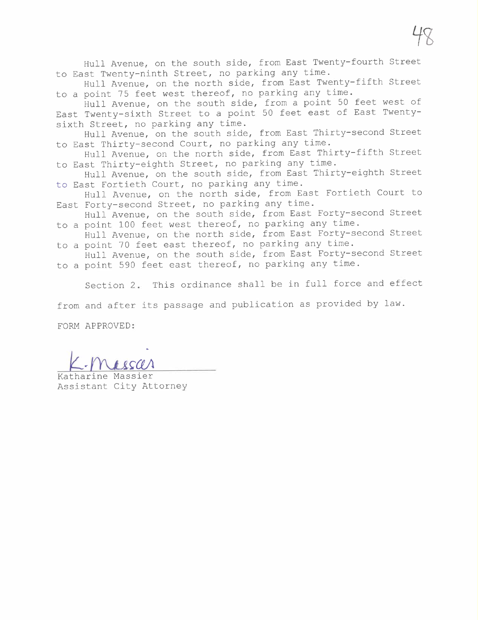Hull Avenue, on the south side, from East Twenty-fourth Street to East Twenty-ninth Street, no parking any time.

Hull Avenue, on the north side, from East Twenty-fifth Street to a point 75 feet west thereof, no parking any time.

Hull Avenue, on the south side, from a point 50 feet west of East Twenty-sixth Street to a point 50 feet east of East Twentysixth Street, no parking any time.

Hull Avenue, on the south side, from East Thirty-second Street to East Thirty-second Court, no parking any time.

Hull Avenue, on the north side, from East Thirty-fifth Street to East Thirty-eighth Street, no parking any time.

Hull Avenue, on the south side, from East Thirty-eighth Street to East Fortieth Court, no parking any time.

Hull Avenue, on the north side, from East Fortieth Court to East Forty-second Street, no parking any time.

Hull Avenue, on the south side, from East Forty-second Street to a point 100 feet west thereof, no parking any time.

Hull Avenue, on the north side, from East Forty-second Street to a point 70 feet east thereof, no parking any time.

Hull Avenue, on the south side, from East Forty-second Street to a point 590 feet east thereof, no parking any time.

Section 2. This ordinance shall be in full force and effect

from and after its passage and publication as provided by law.

FORM APPROVED:

EURE ALINOVED:<br>Katharine Massier

Assistant City Attorney